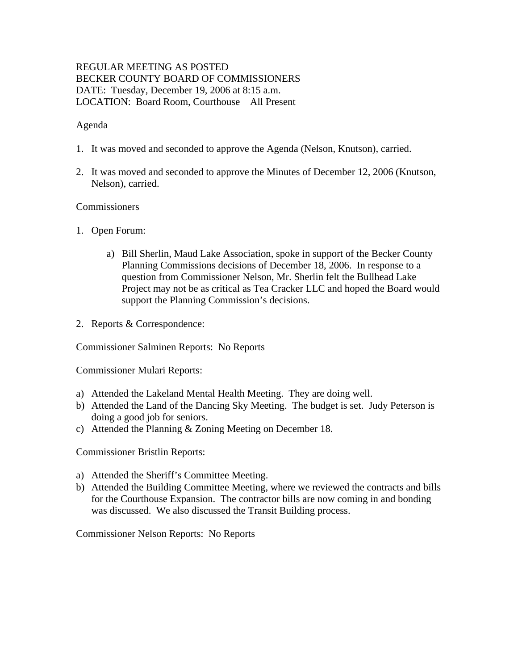## REGULAR MEETING AS POSTED BECKER COUNTY BOARD OF COMMISSIONERS DATE: Tuesday, December 19, 2006 at 8:15 a.m. LOCATION: Board Room, Courthouse All Present

#### Agenda

- 1. It was moved and seconded to approve the Agenda (Nelson, Knutson), carried.
- 2. It was moved and seconded to approve the Minutes of December 12, 2006 (Knutson, Nelson), carried.

#### Commissioners

- 1. Open Forum:
	- a) Bill Sherlin, Maud Lake Association, spoke in support of the Becker County Planning Commissions decisions of December 18, 2006. In response to a question from Commissioner Nelson, Mr. Sherlin felt the Bullhead Lake Project may not be as critical as Tea Cracker LLC and hoped the Board would support the Planning Commission's decisions.
- 2. Reports & Correspondence:

Commissioner Salminen Reports: No Reports

Commissioner Mulari Reports:

- a) Attended the Lakeland Mental Health Meeting. They are doing well.
- b) Attended the Land of the Dancing Sky Meeting. The budget is set. Judy Peterson is doing a good job for seniors.
- c) Attended the Planning & Zoning Meeting on December 18.

Commissioner Bristlin Reports:

- a) Attended the Sheriff's Committee Meeting.
- b) Attended the Building Committee Meeting, where we reviewed the contracts and bills for the Courthouse Expansion. The contractor bills are now coming in and bonding was discussed. We also discussed the Transit Building process.

Commissioner Nelson Reports: No Reports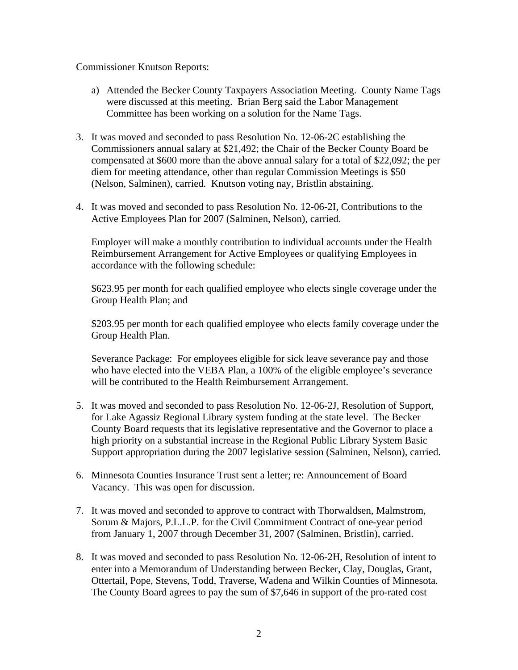#### Commissioner Knutson Reports:

- a) Attended the Becker County Taxpayers Association Meeting. County Name Tags were discussed at this meeting. Brian Berg said the Labor Management Committee has been working on a solution for the Name Tags.
- 3. It was moved and seconded to pass Resolution No. 12-06-2C establishing the Commissioners annual salary at \$21,492; the Chair of the Becker County Board be compensated at \$600 more than the above annual salary for a total of \$22,092; the per diem for meeting attendance, other than regular Commission Meetings is \$50 (Nelson, Salminen), carried. Knutson voting nay, Bristlin abstaining.
- 4. It was moved and seconded to pass Resolution No. 12-06-2I, Contributions to the Active Employees Plan for 2007 (Salminen, Nelson), carried.

Employer will make a monthly contribution to individual accounts under the Health Reimbursement Arrangement for Active Employees or qualifying Employees in accordance with the following schedule:

\$623.95 per month for each qualified employee who elects single coverage under the Group Health Plan; and

\$203.95 per month for each qualified employee who elects family coverage under the Group Health Plan.

Severance Package: For employees eligible for sick leave severance pay and those who have elected into the VEBA Plan, a 100% of the eligible employee's severance will be contributed to the Health Reimbursement Arrangement.

- 5. It was moved and seconded to pass Resolution No. 12-06-2J, Resolution of Support, for Lake Agassiz Regional Library system funding at the state level. The Becker County Board requests that its legislative representative and the Governor to place a high priority on a substantial increase in the Regional Public Library System Basic Support appropriation during the 2007 legislative session (Salminen, Nelson), carried.
- 6. Minnesota Counties Insurance Trust sent a letter; re: Announcement of Board Vacancy. This was open for discussion.
- 7. It was moved and seconded to approve to contract with Thorwaldsen, Malmstrom, Sorum & Majors, P.L.L.P. for the Civil Commitment Contract of one-year period from January 1, 2007 through December 31, 2007 (Salminen, Bristlin), carried.
- 8. It was moved and seconded to pass Resolution No. 12-06-2H, Resolution of intent to enter into a Memorandum of Understanding between Becker, Clay, Douglas, Grant, Ottertail, Pope, Stevens, Todd, Traverse, Wadena and Wilkin Counties of Minnesota. The County Board agrees to pay the sum of \$7,646 in support of the pro-rated cost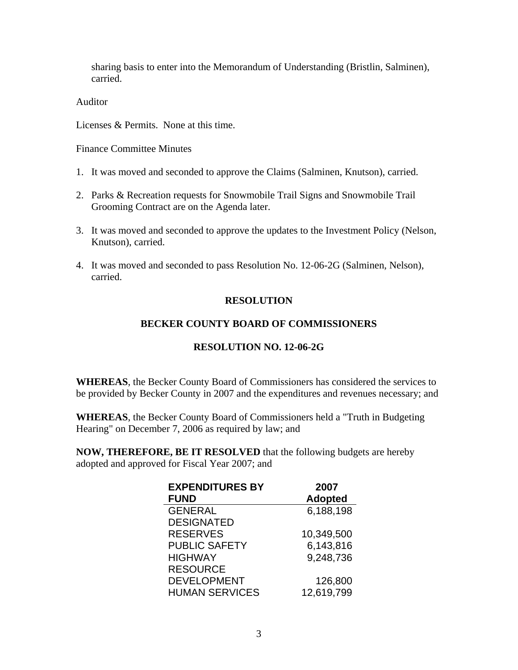sharing basis to enter into the Memorandum of Understanding (Bristlin, Salminen), carried.

Auditor

Licenses & Permits. None at this time.

Finance Committee Minutes

- 1. It was moved and seconded to approve the Claims (Salminen, Knutson), carried.
- 2. Parks & Recreation requests for Snowmobile Trail Signs and Snowmobile Trail Grooming Contract are on the Agenda later.
- 3. It was moved and seconded to approve the updates to the Investment Policy (Nelson, Knutson), carried.
- 4. It was moved and seconded to pass Resolution No. 12-06-2G (Salminen, Nelson), carried.

# **RESOLUTION**

# **BECKER COUNTY BOARD OF COMMISSIONERS**

# **RESOLUTION NO. 12-06-2G**

**WHEREAS**, the Becker County Board of Commissioners has considered the services to be provided by Becker County in 2007 and the expenditures and revenues necessary; and

**WHEREAS**, the Becker County Board of Commissioners held a "Truth in Budgeting Hearing" on December 7, 2006 as required by law; and

**NOW, THEREFORE, BE IT RESOLVED** that the following budgets are hereby adopted and approved for Fiscal Year 2007; and

| <b>EXPENDITURES BY</b> | 2007           |
|------------------------|----------------|
| <b>FUND</b>            | <b>Adopted</b> |
| <b>GENERAL</b>         | 6,188,198      |
| <b>DESIGNATED</b>      |                |
| <b>RESERVES</b>        | 10,349,500     |
| <b>PUBLIC SAFETY</b>   | 6,143,816      |
| <b>HIGHWAY</b>         | 9,248,736      |
| <b>RESOURCE</b>        |                |
| <b>DEVELOPMENT</b>     | 126,800        |
| <b>HUMAN SERVICES</b>  | 12,619,799     |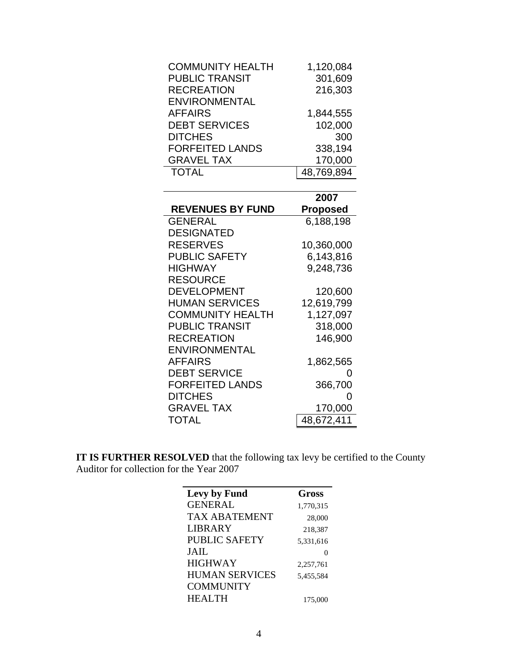|                         | 2007       |
|-------------------------|------------|
|                         |            |
| <b>TOTAL</b>            | 48,769,894 |
| <b>GRAVEL TAX</b>       | 170,000    |
| <b>FORFEITED LANDS</b>  | 338,194    |
| <b>DITCHES</b>          | 300        |
| <b>DEBT SERVICES</b>    | 102,000    |
| <b>AFFAIRS</b>          | 1,844,555  |
| <b>ENVIRONMENTAL</b>    |            |
| <b>RECREATION</b>       | 216,303    |
| <b>PUBLIC TRANSIT</b>   | 301,609    |
| <b>COMMUNITY HEALTH</b> | 1,120,084  |
|                         |            |

|                         | 2007       |
|-------------------------|------------|
| <b>REVENUES BY FUND</b> | Proposed   |
| <b>GENERAL</b>          | 6,188,198  |
| <b>DESIGNATED</b>       |            |
| <b>RESERVES</b>         | 10,360,000 |
| <b>PUBLIC SAFETY</b>    | 6,143,816  |
| <b>HIGHWAY</b>          | 9,248,736  |
| <b>RESOURCE</b>         |            |
| <b>DEVELOPMENT</b>      | 120,600    |
| <b>HUMAN SERVICES</b>   | 12,619,799 |
| <b>COMMUNITY HEALTH</b> | 1,127,097  |
| <b>PUBLIC TRANSIT</b>   | 318,000    |
| RECREATION              | 146,900    |
| <b>ENVIRONMENTAL</b>    |            |
| <b>AFFAIRS</b>          | 1,862,565  |
| <b>DEBT SERVICE</b>     | 0          |
| <b>FORFEITED LANDS</b>  | 366,700    |
| <b>DITCHES</b>          |            |
| <b>GRAVEL TAX</b>       | 170,000    |
| <b>TOTAL</b>            | 48,672,411 |
|                         |            |

**IT IS FURTHER RESOLVED** that the following tax levy be certified to the County Auditor for collection for the Year 2007

| <b>Gross</b> |
|--------------|
| 1,770,315    |
| 28,000       |
| 218,387      |
| 5,331,616    |
|              |
| 2,257,761    |
| 5,455,584    |
|              |
| 175,000      |
|              |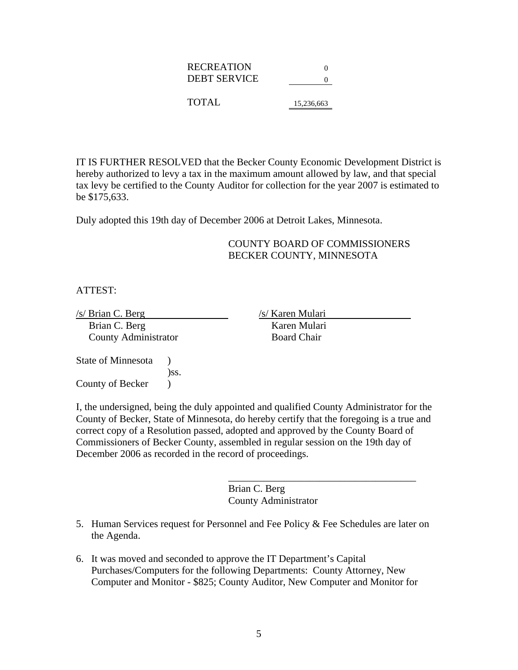| <b>RECREATION</b> | $^{\circ}$ |
|-------------------|------------|
| DEBT SERVICE      |            |
|                   |            |
| <b>TOTAL</b>      | 15.236.663 |

IT IS FURTHER RESOLVED that the Becker County Economic Development District is hereby authorized to levy a tax in the maximum amount allowed by law, and that special tax levy be certified to the County Auditor for collection for the year 2007 is estimated to be \$175,633.

Duly adopted this 19th day of December 2006 at Detroit Lakes, Minnesota.

#### COUNTY BOARD OF COMMISSIONERS BECKER COUNTY, MINNESOTA

ATTEST:

/s/ Brian C. Berg /s/ Karen Mulari Brian C. Berg Karen Mulari County Administrator Board Chair

State of Minnesota ) )ss. County of Becker  $\qquad$ )

I, the undersigned, being the duly appointed and qualified County Administrator for the County of Becker, State of Minnesota, do hereby certify that the foregoing is a true and correct copy of a Resolution passed, adopted and approved by the County Board of Commissioners of Becker County, assembled in regular session on the 19th day of December 2006 as recorded in the record of proceedings.

> Brian C. Berg County Administrator

5. Human Services request for Personnel and Fee Policy  $\&$  Fee Schedules are later on the Agenda.

 $\frac{1}{2}$  ,  $\frac{1}{2}$  ,  $\frac{1}{2}$  ,  $\frac{1}{2}$  ,  $\frac{1}{2}$  ,  $\frac{1}{2}$  ,  $\frac{1}{2}$  ,  $\frac{1}{2}$  ,  $\frac{1}{2}$  ,  $\frac{1}{2}$  ,  $\frac{1}{2}$  ,  $\frac{1}{2}$  ,  $\frac{1}{2}$  ,  $\frac{1}{2}$  ,  $\frac{1}{2}$  ,  $\frac{1}{2}$  ,  $\frac{1}{2}$  ,  $\frac{1}{2}$  ,  $\frac{1$ 

6. It was moved and seconded to approve the IT Department's Capital Purchases/Computers for the following Departments: County Attorney, New Computer and Monitor - \$825; County Auditor, New Computer and Monitor for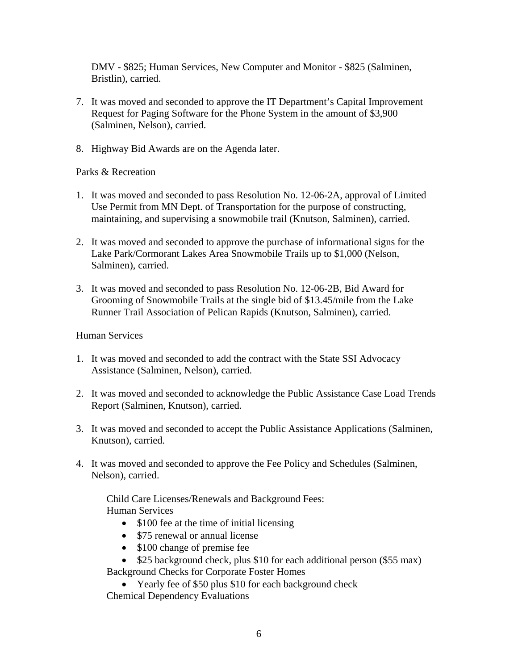DMV - \$825; Human Services, New Computer and Monitor - \$825 (Salminen, Bristlin), carried.

- 7. It was moved and seconded to approve the IT Department's Capital Improvement Request for Paging Software for the Phone System in the amount of \$3,900 (Salminen, Nelson), carried.
- 8. Highway Bid Awards are on the Agenda later.

#### Parks & Recreation

- 1. It was moved and seconded to pass Resolution No. 12-06-2A, approval of Limited Use Permit from MN Dept. of Transportation for the purpose of constructing, maintaining, and supervising a snowmobile trail (Knutson, Salminen), carried.
- 2. It was moved and seconded to approve the purchase of informational signs for the Lake Park/Cormorant Lakes Area Snowmobile Trails up to \$1,000 (Nelson, Salminen), carried.
- 3. It was moved and seconded to pass Resolution No. 12-06-2B, Bid Award for Grooming of Snowmobile Trails at the single bid of \$13.45/mile from the Lake Runner Trail Association of Pelican Rapids (Knutson, Salminen), carried.

#### Human Services

- 1. It was moved and seconded to add the contract with the State SSI Advocacy Assistance (Salminen, Nelson), carried.
- 2. It was moved and seconded to acknowledge the Public Assistance Case Load Trends Report (Salminen, Knutson), carried.
- 3. It was moved and seconded to accept the Public Assistance Applications (Salminen, Knutson), carried.
- 4. It was moved and seconded to approve the Fee Policy and Schedules (Salminen, Nelson), carried.

Child Care Licenses/Renewals and Background Fees: Human Services

- \$100 fee at the time of initial licensing
- \$75 renewal or annual license
- \$100 change of premise fee
- \$25 background check, plus \$10 for each additional person (\$55 max)

Background Checks for Corporate Foster Homes

• Yearly fee of \$50 plus \$10 for each background check Chemical Dependency Evaluations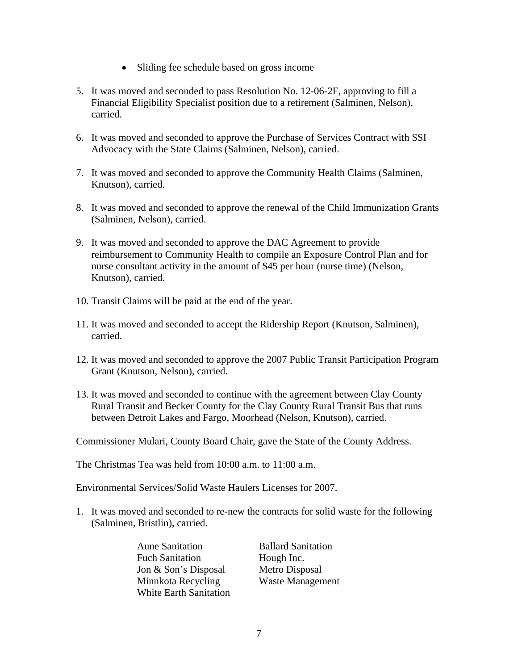- Sliding fee schedule based on gross income
- 5. It was moved and seconded to pass Resolution No. 12-06-2F, approving to fill a Financial Eligibility Specialist position due to a retirement (Salminen, Nelson), carried.
- 6. It was moved and seconded to approve the Purchase of Services Contract with SSI Advocacy with the State Claims (Salminen, Nelson), carried.
- 7. It was moved and seconded to approve the Community Health Claims (Salminen, Knutson), carried.
- 8. It was moved and seconded to approve the renewal of the Child Immunization Grants (Salminen, Nelson), carried.
- 9. It was moved and seconded to approve the DAC Agreement to provide reimbursement to Community Health to compile an Exposure Control Plan and for nurse consultant activity in the amount of \$45 per hour (nurse time) (Nelson, Knutson), carried.
- 10. Transit Claims will be paid at the end of the year.
- 11. It was moved and seconded to accept the Ridership Report (Knutson, Salminen), carried.
- 12. It was moved and seconded to approve the 2007 Public Transit Participation Program Grant (Knutson, Nelson), carried.
- 13. It was moved and seconded to continue with the agreement between Clay County Rural Transit and Becker County for the Clay County Rural Transit Bus that runs between Detroit Lakes and Fargo, Moorhead (Nelson, Knutson), carried.

Commissioner Mulari, County Board Chair, gave the State of the County Address.

The Christmas Tea was held from  $10:00$  a.m. to  $11:00$  a.m.

Environmental Services/Solid Waste Haulers Licenses for 2007.

1. It was moved and seconded to re-new the contracts for solid waste for the following (Salminen, Bristlin), carried.

> Aune Sanitation Ballard Sanitation Fuch Sanitation Hough Inc. Jon & Son's Disposal Metro Disposal Minnkota Recycling Waste Management White Earth Sanitation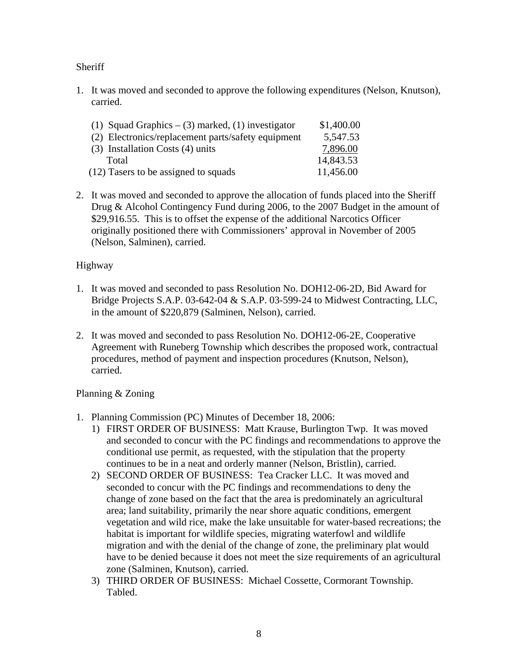## **Sheriff**

1. It was moved and seconded to approve the following expenditures (Nelson, Knutson), carried.

| (1) Squad Graphics $-$ (3) marked, (1) investigator | \$1,400.00 |
|-----------------------------------------------------|------------|
| (2) Electronics/replacement parts/safety equipment  | 5,547.53   |
| $(3)$ Installation Costs $(4)$ units                | 7,896.00   |
| Total                                               | 14,843.53  |
| (12) Tasers to be assigned to squads                | 11,456.00  |

2. It was moved and seconded to approve the allocation of funds placed into the Sheriff Drug & Alcohol Contingency Fund during 2006, to the 2007 Budget in the amount of \$29,916.55. This is to offset the expense of the additional Narcotics Officer originally positioned there with Commissioners' approval in November of 2005 (Nelson, Salminen), carried.

## Highway

- 1. It was moved and seconded to pass Resolution No. DOH12-06-2D, Bid Award for Bridge Projects S.A.P. 03-642-04 & S.A.P. 03-599-24 to Midwest Contracting, LLC, in the amount of \$220,879 (Salminen, Nelson), carried.
- 2. It was moved and seconded to pass Resolution No. DOH12-06-2E, Cooperative Agreement with Runeberg Township which describes the proposed work, contractual procedures, method of payment and inspection procedures (Knutson, Nelson), carried.

## Planning & Zoning

- 1. Planning Commission (PC) Minutes of December 18, 2006:
	- 1) FIRST ORDER OF BUSINESS: Matt Krause, Burlington Twp. It was moved and seconded to concur with the PC findings and recommendations to approve the conditional use permit, as requested, with the stipulation that the property continues to be in a neat and orderly manner (Nelson, Bristlin), carried.
	- 2) SECOND ORDER OF BUSINESS: Tea Cracker LLC. It was moved and seconded to concur with the PC findings and recommendations to deny the change of zone based on the fact that the area is predominately an agricultural area; land suitability, primarily the near shore aquatic conditions, emergent vegetation and wild rice, make the lake unsuitable for water-based recreations; the habitat is important for wildlife species, migrating waterfowl and wildlife migration and with the denial of the change of zone, the preliminary plat would have to be denied because it does not meet the size requirements of an agricultural zone (Salminen, Knutson), carried.
	- 3) THIRD ORDER OF BUSINESS: Michael Cossette, Cormorant Township. Tabled.